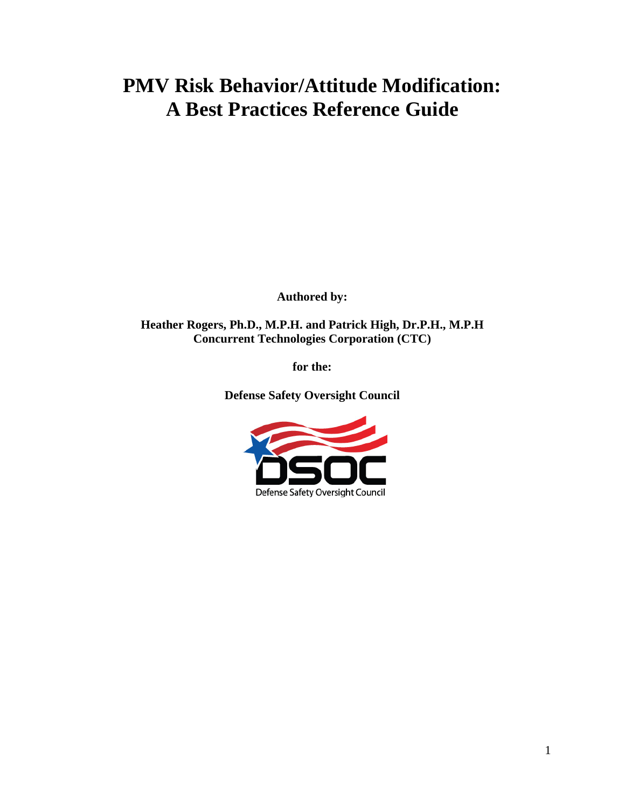# **PMV Risk Behavior/Attitude Modification: A Best Practices Reference Guide**

**Authored by:** 

**Heather Rogers, Ph.D., M.P.H. and Patrick High, Dr.P.H., M.P.H Concurrent Technologies Corporation (CTC)** 

**for the:** 

**Defense Safety Oversight Council** 

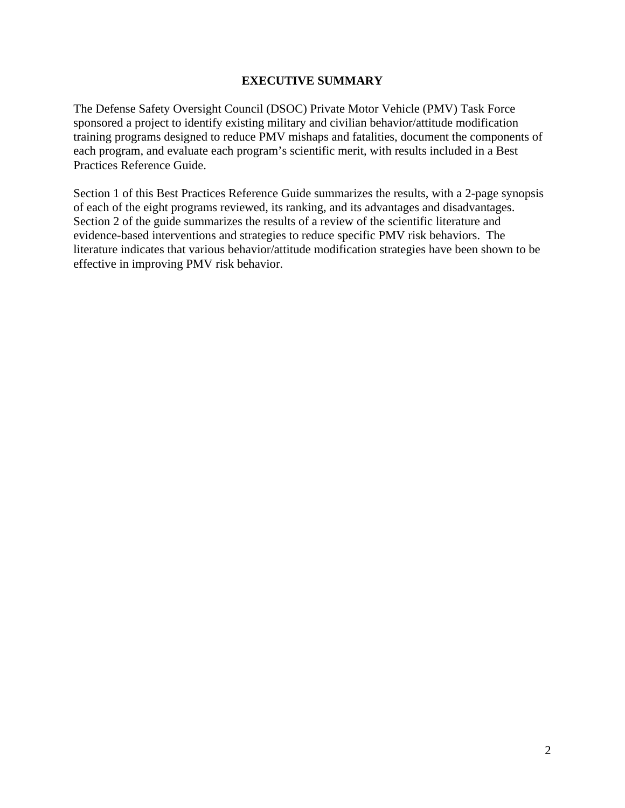### **EXECUTIVE SUMMARY**

The Defense Safety Oversight Council (DSOC) Private Motor Vehicle (PMV) Task Force sponsored a project to identify existing military and civilian behavior/attitude modification training programs designed to reduce PMV mishaps and fatalities, document the components of each program, and evaluate each program's scientific merit, with results included in a Best Practices Reference Guide.

Section 1 of this Best Practices Reference Guide summarizes the results, with a 2-page synopsis of each of the eight programs reviewed, its ranking, and its advantages and disadvantages. Section 2 of the guide summarizes the results of a review of the scientific literature and evidence-based interventions and strategies to reduce specific PMV risk behaviors. The literature indicates that various behavior/attitude modification strategies have been shown to be effective in improving PMV risk behavior.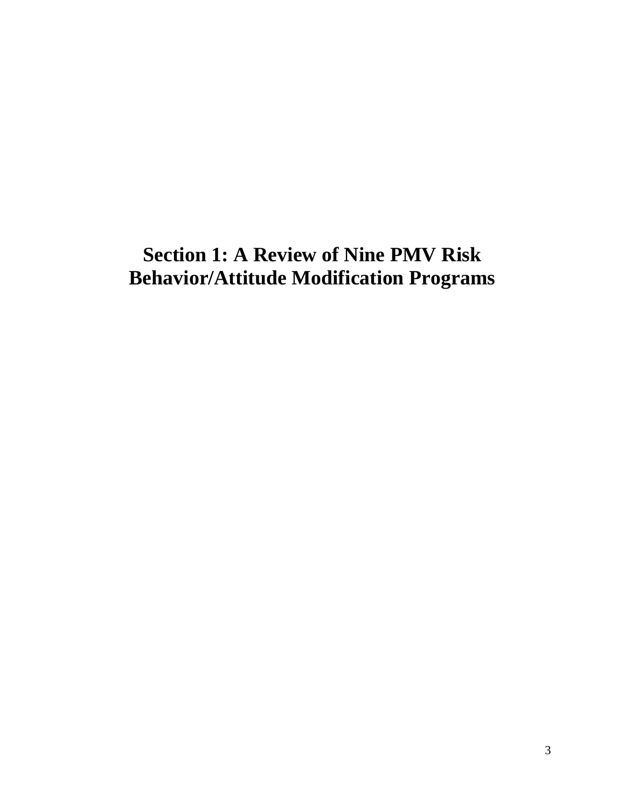# **Section 1: A Review of Nine PMV Risk Behavior/Attitude Modification Programs**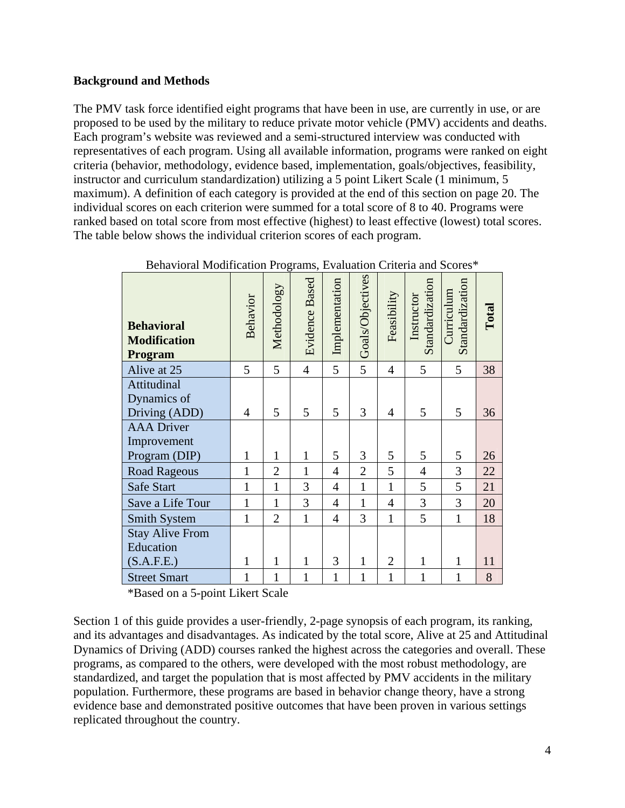### **Background and Methods**

The PMV task force identified eight programs that have been in use, are currently in use, or are proposed to be used by the military to reduce private motor vehicle (PMV) accidents and deaths. Each program's website was reviewed and a semi-structured interview was conducted with representatives of each program. Using all available information, programs were ranked on eight criteria (behavior, methodology, evidence based, implementation, goals/objectives, feasibility, instructor and curriculum standardization) utilizing a 5 point Likert Scale (1 minimum, 5 maximum). A definition of each category is provided at the end of this section on page 20. The individual scores on each criterion were summed for a total score of 8 to 40. Programs were ranked based on total score from most effective (highest) to least effective (lowest) total scores. The table below shows the individual criterion scores of each program.

| <b>Behavioral</b><br><b>Modification</b><br>Program | Behavior       | Methodology    | <b>Evidence Based</b> | Implementation | Goals/Objectives | Feasibility    | Standardization<br>Instructor | Standardization<br>Curriculum | Total |
|-----------------------------------------------------|----------------|----------------|-----------------------|----------------|------------------|----------------|-------------------------------|-------------------------------|-------|
| Alive at 25                                         | 5              | 5              | $\overline{4}$        | 5              | 5                | $\overline{4}$ | 5                             | 5                             | 38    |
| Attitudinal                                         |                |                |                       |                |                  |                |                               |                               |       |
| Dynamics of                                         |                |                |                       |                |                  |                |                               |                               |       |
| Driving (ADD)                                       | $\overline{4}$ | 5              | 5                     | 5              | 3                | $\overline{4}$ | 5                             | 5                             | 36    |
| <b>AAA</b> Driver                                   |                |                |                       |                |                  |                |                               |                               |       |
| Improvement                                         |                |                |                       |                |                  |                |                               |                               |       |
| Program (DIP)                                       | 1              | $\mathbf{1}$   | $\mathbf{1}$          | 5              | 3                | 5              | 5                             | 5                             | 26    |
| <b>Road Rageous</b>                                 | $\mathbf{1}$   | $\overline{2}$ | $\mathbf{1}$          | $\overline{4}$ | $\overline{2}$   | 5              | $\overline{4}$                | 3                             | 22    |
| Safe Start                                          | $\mathbf{1}$   | $\mathbf{1}$   | 3                     | $\overline{4}$ | $\mathbf{1}$     | $\mathbf{1}$   | 5                             | 5                             | 21    |
| Save a Life Tour                                    | 1              | $\mathbf{1}$   | 3                     | $\overline{4}$ | 1                | $\overline{4}$ | 3                             | 3                             | 20    |
| <b>Smith System</b>                                 | 1              | $\overline{2}$ | $\mathbf{1}$          | $\overline{4}$ | 3                | $\mathbf{1}$   | 5                             | 1                             | 18    |
| <b>Stay Alive From</b>                              |                |                |                       |                |                  |                |                               |                               |       |
| Education                                           |                |                |                       |                |                  |                |                               |                               |       |
| (S.A.F.E.)                                          | 1              | 1              | $\mathbf{1}$          | 3              | 1                | $\overline{2}$ | 1                             | 1                             | 11    |
| <b>Street Smart</b>                                 | 1              | 1              | 1                     | $\mathbf{1}$   | 1                | $\mathbf{1}$   | 1                             | 1                             | 8     |

| Behavioral Modification Programs, Evaluation Criteria and Scores* |  |
|-------------------------------------------------------------------|--|
|-------------------------------------------------------------------|--|

\*Based on a 5-point Likert Scale

Section 1 of this guide provides a user-friendly, 2-page synopsis of each program, its ranking, and its advantages and disadvantages. As indicated by the total score, Alive at 25 and Attitudinal Dynamics of Driving (ADD) courses ranked the highest across the categories and overall. These programs, as compared to the others, were developed with the most robust methodology, are standardized, and target the population that is most affected by PMV accidents in the military population. Furthermore, these programs are based in behavior change theory, have a strong evidence base and demonstrated positive outcomes that have been proven in various settings replicated throughout the country.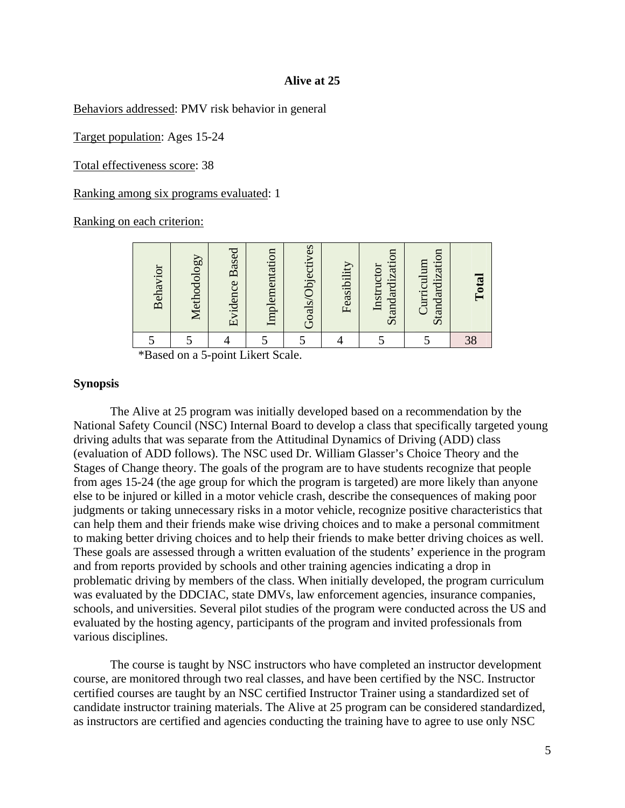#### **Alive at 25**

Behaviors addressed: PMV risk behavior in general

Target population: Ages 15-24

Total effectiveness score: 38

Ranking among six programs evaluated: 1

Ranking on each criterion:

| Behavior | Methodology | Evidence Based | Implementation | Goals/Objectives | Feasibility | Standardization<br>Instructor | Standardization<br>Curriculum | <b>Total</b> |
|----------|-------------|----------------|----------------|------------------|-------------|-------------------------------|-------------------------------|--------------|
|          |             |                |                |                  |             |                               |                               |              |

\*Based on a 5-point Likert Scale.

#### **Synopsis**

The Alive at 25 program was initially developed based on a recommendation by the National Safety Council (NSC) Internal Board to develop a class that specifically targeted young driving adults that was separate from the Attitudinal Dynamics of Driving (ADD) class (evaluation of ADD follows). The NSC used Dr. William Glasser's Choice Theory and the Stages of Change theory. The goals of the program are to have students recognize that people from ages 15-24 (the age group for which the program is targeted) are more likely than anyone else to be injured or killed in a motor vehicle crash, describe the consequences of making poor judgments or taking unnecessary risks in a motor vehicle, recognize positive characteristics that can help them and their friends make wise driving choices and to make a personal commitment to making better driving choices and to help their friends to make better driving choices as well. These goals are assessed through a written evaluation of the students' experience in the program and from reports provided by schools and other training agencies indicating a drop in problematic driving by members of the class. When initially developed, the program curriculum was evaluated by the DDCIAC, state DMVs, law enforcement agencies, insurance companies, schools, and universities. Several pilot studies of the program were conducted across the US and evaluated by the hosting agency, participants of the program and invited professionals from various disciplines.

The course is taught by NSC instructors who have completed an instructor development course, are monitored through two real classes, and have been certified by the NSC. Instructor certified courses are taught by an NSC certified Instructor Trainer using a standardized set of candidate instructor training materials. The Alive at 25 program can be considered standardized, as instructors are certified and agencies conducting the training have to agree to use only NSC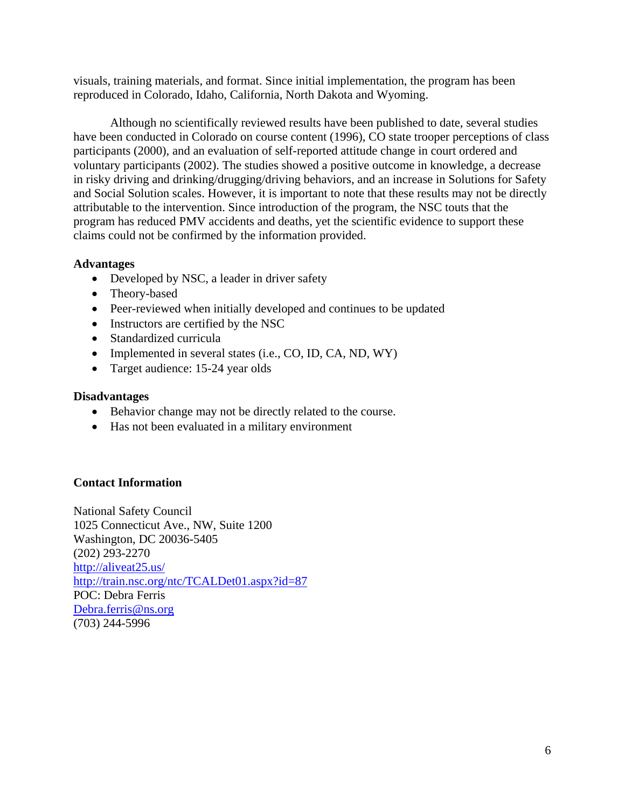visuals, training materials, and format. Since initial implementation, the program has been reproduced in Colorado, Idaho, California, North Dakota and Wyoming.

Although no scientifically reviewed results have been published to date, several studies have been conducted in Colorado on course content (1996), CO state trooper perceptions of class participants (2000), and an evaluation of self-reported attitude change in court ordered and voluntary participants (2002). The studies showed a positive outcome in knowledge, a decrease in risky driving and drinking/drugging/driving behaviors, and an increase in Solutions for Safety and Social Solution scales. However, it is important to note that these results may not be directly attributable to the intervention. Since introduction of the program, the NSC touts that the program has reduced PMV accidents and deaths, yet the scientific evidence to support these claims could not be confirmed by the information provided.

# **Advantages**

- Developed by NSC, a leader in driver safety
- Theory-based
- Peer-reviewed when initially developed and continues to be updated
- Instructors are certified by the NSC
- Standardized curricula
- Implemented in several states (i.e., CO, ID, CA, ND, WY)
- Target audience: 15-24 year olds

### **Disadvantages**

- Behavior change may not be directly related to the course.
- Has not been evaluated in a military environment

# **Contact Information**

National Safety Council 1025 Connecticut Ave., NW, Suite 1200 Washington, DC 20036-5405 (202) 293-2270 http://aliveat25.us/ http://train.nsc.org/ntc/TCALDet01.aspx?id=87 POC: Debra Ferris Debra.ferris@ns.org (703) 244-5996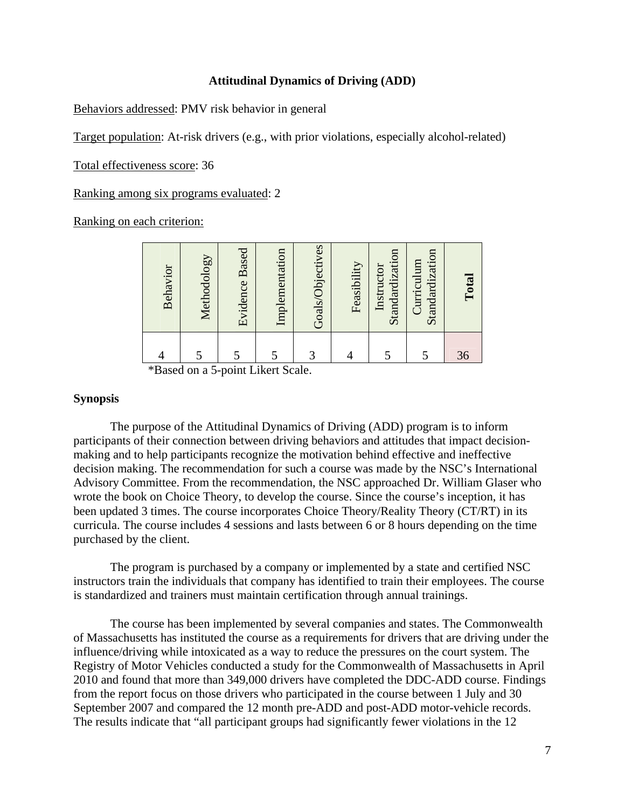#### **Attitudinal Dynamics of Driving (ADD)**

Behaviors addressed: PMV risk behavior in general

Target population: At-risk drivers (e.g., with prior violations, especially alcohol-related)

Total effectiveness score: 36

Ranking among six programs evaluated: 2

Ranking on each criterion:

| Behavior | Methodology | <b>Evidence Based</b> | Implementation | Goals/Objectives | Feasibility | Standardization<br>Instructor | Standardization<br>Curriculum | Total |
|----------|-------------|-----------------------|----------------|------------------|-------------|-------------------------------|-------------------------------|-------|
|          |             |                       |                | 3                |             |                               |                               | 36    |

\*Based on a 5-point Likert Scale.

#### **Synopsis**

The purpose of the Attitudinal Dynamics of Driving (ADD) program is to inform participants of their connection between driving behaviors and attitudes that impact decisionmaking and to help participants recognize the motivation behind effective and ineffective decision making. The recommendation for such a course was made by the NSC's International Advisory Committee. From the recommendation, the NSC approached Dr. William Glaser who wrote the book on Choice Theory, to develop the course. Since the course's inception, it has been updated 3 times. The course incorporates Choice Theory/Reality Theory (CT/RT) in its curricula. The course includes 4 sessions and lasts between 6 or 8 hours depending on the time purchased by the client.

The program is purchased by a company or implemented by a state and certified NSC instructors train the individuals that company has identified to train their employees. The course is standardized and trainers must maintain certification through annual trainings.

The course has been implemented by several companies and states. The Commonwealth of Massachusetts has instituted the course as a requirements for drivers that are driving under the influence/driving while intoxicated as a way to reduce the pressures on the court system. The Registry of Motor Vehicles conducted a study for the Commonwealth of Massachusetts in April 2010 and found that more than 349,000 drivers have completed the DDC-ADD course. Findings from the report focus on those drivers who participated in the course between 1 July and 30 September 2007 and compared the 12 month pre-ADD and post-ADD motor-vehicle records. The results indicate that "all participant groups had significantly fewer violations in the 12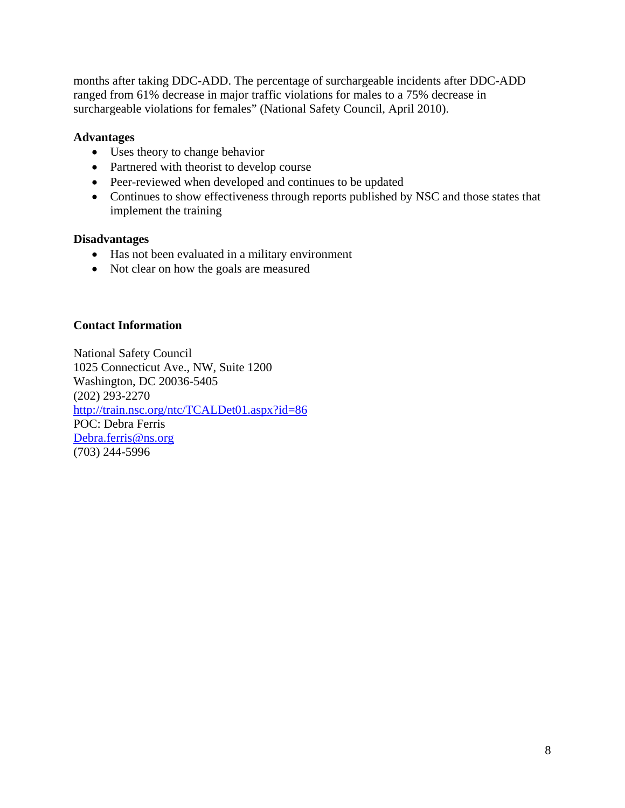months after taking DDC-ADD. The percentage of surchargeable incidents after DDC-ADD ranged from 61% decrease in major traffic violations for males to a 75% decrease in surchargeable violations for females" (National Safety Council, April 2010).

# **Advantages**

- Uses theory to change behavior
- Partnered with theorist to develop course
- Peer-reviewed when developed and continues to be updated
- Continues to show effectiveness through reports published by NSC and those states that implement the training

### **Disadvantages**

- Has not been evaluated in a military environment
- Not clear on how the goals are measured

### **Contact Information**

National Safety Council 1025 Connecticut Ave., NW, Suite 1200 Washington, DC 20036-5405 (202) 293-2270 http://train.nsc.org/ntc/TCALDet01.aspx?id=86 POC: Debra Ferris Debra.ferris@ns.org (703) 244-5996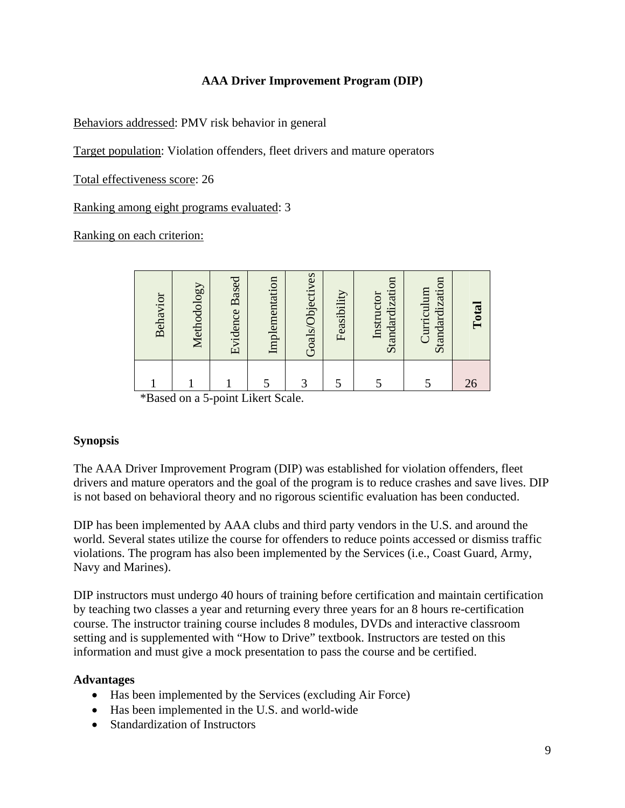# **AAA Driver Improvement Program (DIP)**

Behaviors addressed: PMV risk behavior in general

Target population: Violation offenders, fleet drivers and mature operators

Total effectiveness score: 26

Ranking among eight programs evaluated: 3

Ranking on each criterion:

| Behavior            | Methodology                 | <b>Evidence Based</b>  | Implementation | Goals/Objectives | Feasibility | Standardization<br>Instructor | Standardization<br>Curriculum | Total |
|---------------------|-----------------------------|------------------------|----------------|------------------|-------------|-------------------------------|-------------------------------|-------|
|                     |                             |                        |                | 3                |             |                               |                               | 26    |
| $*D$ <sub>and</sub> | $\sim$ $\sim$ $\sim$ $\sim$ | $m = 1.4$ Linear Coole |                |                  |             |                               |                               |       |

\*Based on a 5-point Likert Scale.

# **Synopsis**

The AAA Driver Improvement Program (DIP) was established for violation offenders, fleet drivers and mature operators and the goal of the program is to reduce crashes and save lives. DIP is not based on behavioral theory and no rigorous scientific evaluation has been conducted.

DIP has been implemented by AAA clubs and third party vendors in the U.S. and around the world. Several states utilize the course for offenders to reduce points accessed or dismiss traffic violations. The program has also been implemented by the Services (i.e., Coast Guard, Army, Navy and Marines).

DIP instructors must undergo 40 hours of training before certification and maintain certification by teaching two classes a year and returning every three years for an 8 hours re-certification course. The instructor training course includes 8 modules, DVDs and interactive classroom setting and is supplemented with "How to Drive" textbook. Instructors are tested on this information and must give a mock presentation to pass the course and be certified.

# **Advantages**

- Has been implemented by the Services (excluding Air Force)
- Has been implemented in the U.S. and world-wide
- Standardization of Instructors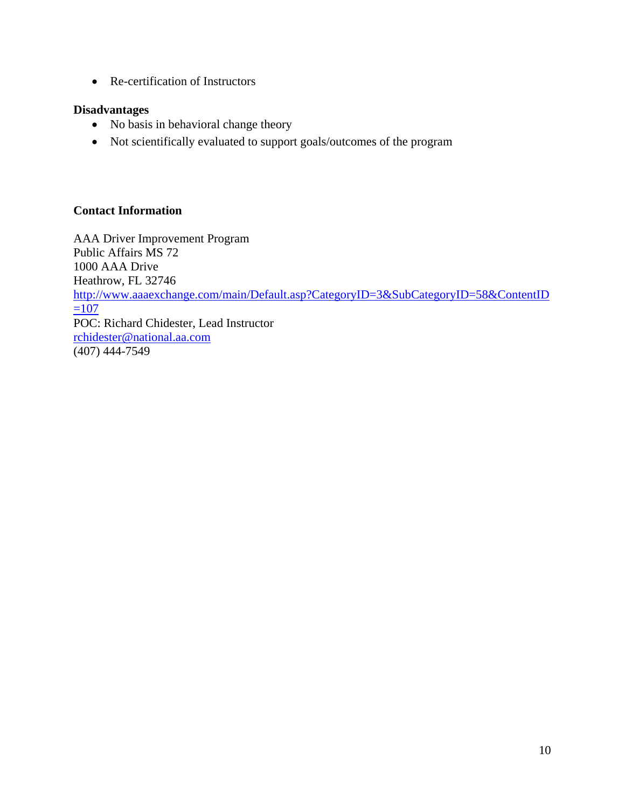• Re-certification of Instructors

# **Disadvantages**

- No basis in behavioral change theory
- Not scientifically evaluated to support goals/outcomes of the program

# **Contact Information**

AAA Driver Improvement Program Public Affairs MS 72 1000 AAA Drive Heathrow, FL 32746 http://www.aaaexchange.com/main/Default.asp?CategoryID=3&SubCategoryID=58&ContentID  $=107$ POC: Richard Chidester, Lead Instructor rchidester@national.aa.com (407) 444-7549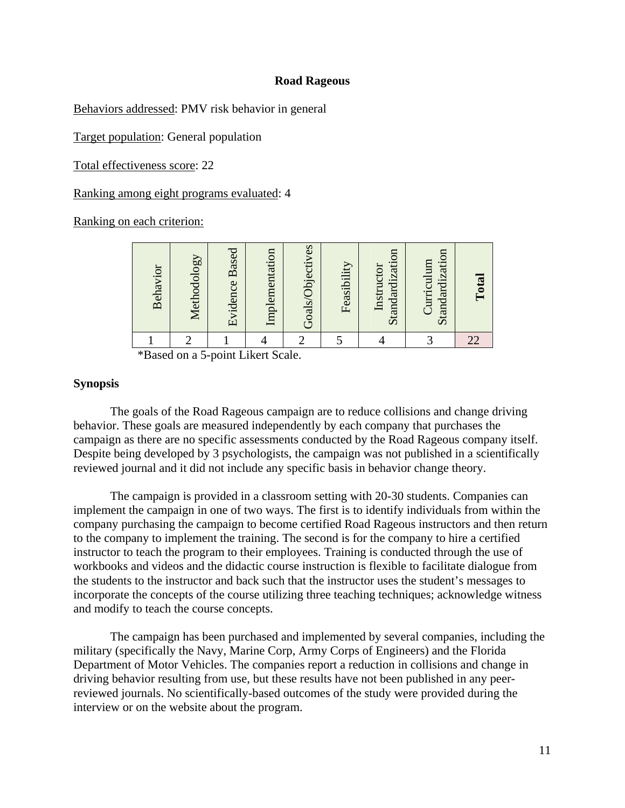#### **Road Rageous**

Behaviors addressed: PMV risk behavior in general

Target population: General population

Total effectiveness score: 22

Ranking among eight programs evaluated: 4

Ranking on each criterion:

| Behavior | Methodology | <b>Evidence Based</b> | Implementation | Goals/Objectives | Feasibility | Standardization<br>Instructor | Standardization<br>Curriculum | <b>Lotal</b> |
|----------|-------------|-----------------------|----------------|------------------|-------------|-------------------------------|-------------------------------|--------------|
|          |             |                       |                |                  |             |                               |                               |              |

\*Based on a 5-point Likert Scale.

### **Synopsis**

The goals of the Road Rageous campaign are to reduce collisions and change driving behavior. These goals are measured independently by each company that purchases the campaign as there are no specific assessments conducted by the Road Rageous company itself. Despite being developed by 3 psychologists, the campaign was not published in a scientifically reviewed journal and it did not include any specific basis in behavior change theory.

The campaign is provided in a classroom setting with 20-30 students. Companies can implement the campaign in one of two ways. The first is to identify individuals from within the company purchasing the campaign to become certified Road Rageous instructors and then return to the company to implement the training. The second is for the company to hire a certified instructor to teach the program to their employees. Training is conducted through the use of workbooks and videos and the didactic course instruction is flexible to facilitate dialogue from the students to the instructor and back such that the instructor uses the student's messages to incorporate the concepts of the course utilizing three teaching techniques; acknowledge witness and modify to teach the course concepts.

The campaign has been purchased and implemented by several companies, including the military (specifically the Navy, Marine Corp, Army Corps of Engineers) and the Florida Department of Motor Vehicles. The companies report a reduction in collisions and change in driving behavior resulting from use, but these results have not been published in any peerreviewed journals. No scientifically-based outcomes of the study were provided during the interview or on the website about the program.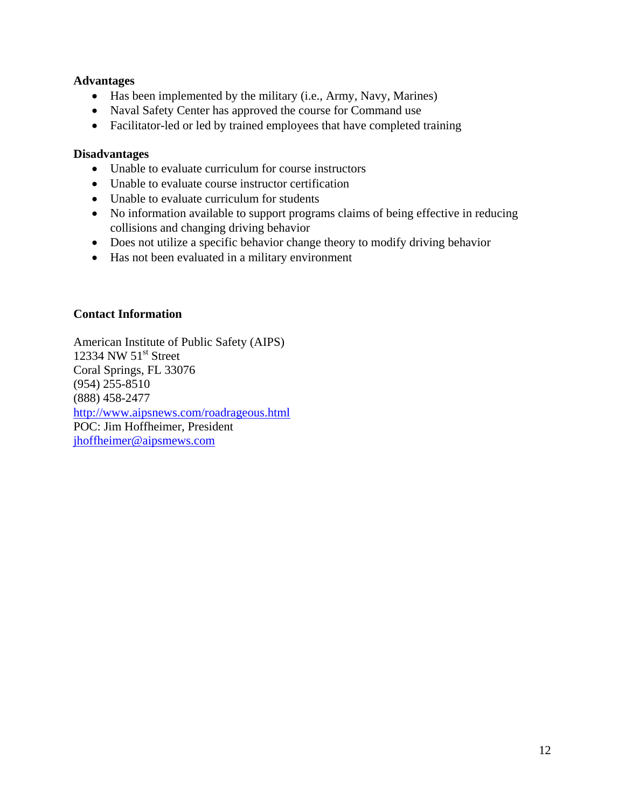### **Advantages**

- Has been implemented by the military (i.e., Army, Navy, Marines)
- Naval Safety Center has approved the course for Command use
- Facilitator-led or led by trained employees that have completed training

#### **Disadvantages**

- Unable to evaluate curriculum for course instructors
- Unable to evaluate course instructor certification
- Unable to evaluate curriculum for students
- No information available to support programs claims of being effective in reducing collisions and changing driving behavior
- Does not utilize a specific behavior change theory to modify driving behavior
- Has not been evaluated in a military environment

### **Contact Information**

American Institute of Public Safety (AIPS) 12334 NW  $51<sup>st</sup>$  Street Coral Springs, FL 33076 (954) 255-8510 (888) 458-2477 http://www.aipsnews.com/roadrageous.html POC: Jim Hoffheimer, President jhoffheimer@aipsmews.com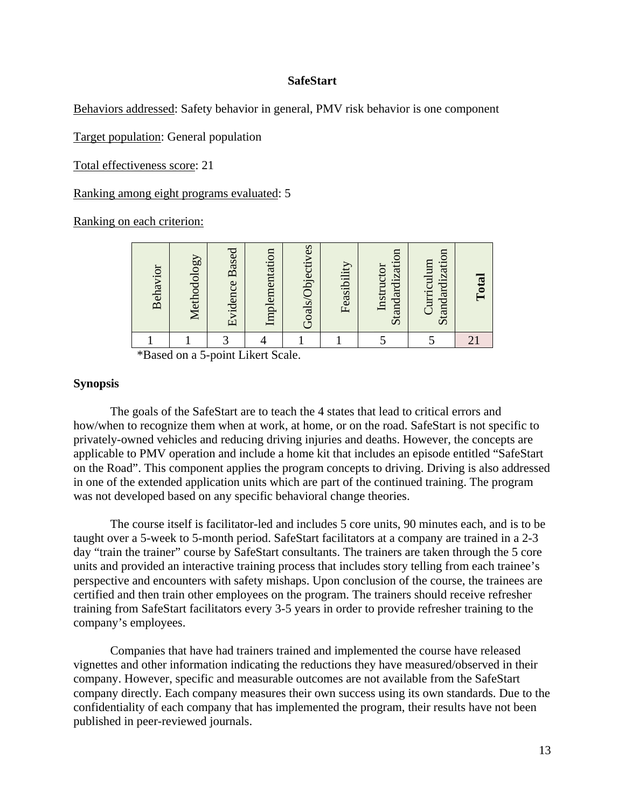#### **SafeStart**

Behaviors addressed: Safety behavior in general, PMV risk behavior is one component

Target population: General population

Total effectiveness score: 21

Ranking among eight programs evaluated: 5

Ranking on each criterion:

| Behavior | Methodology | Evidence Based | Implementation | Goals/Objectives | Feasibility | Standardization<br>Instructor | Standardization<br>Curriculum | Total |
|----------|-------------|----------------|----------------|------------------|-------------|-------------------------------|-------------------------------|-------|
|          |             |                |                |                  |             |                               |                               |       |

\*Based on a 5-point Likert Scale.

#### **Synopsis**

The goals of the SafeStart are to teach the 4 states that lead to critical errors and how/when to recognize them when at work, at home, or on the road. SafeStart is not specific to privately-owned vehicles and reducing driving injuries and deaths. However, the concepts are applicable to PMV operation and include a home kit that includes an episode entitled "SafeStart on the Road". This component applies the program concepts to driving. Driving is also addressed in one of the extended application units which are part of the continued training. The program was not developed based on any specific behavioral change theories.

The course itself is facilitator-led and includes 5 core units, 90 minutes each, and is to be taught over a 5-week to 5-month period. SafeStart facilitators at a company are trained in a 2-3 day "train the trainer" course by SafeStart consultants. The trainers are taken through the 5 core units and provided an interactive training process that includes story telling from each trainee's perspective and encounters with safety mishaps. Upon conclusion of the course, the trainees are certified and then train other employees on the program. The trainers should receive refresher training from SafeStart facilitators every 3-5 years in order to provide refresher training to the company's employees.

Companies that have had trainers trained and implemented the course have released vignettes and other information indicating the reductions they have measured/observed in their company. However, specific and measurable outcomes are not available from the SafeStart company directly. Each company measures their own success using its own standards. Due to the confidentiality of each company that has implemented the program, their results have not been published in peer-reviewed journals.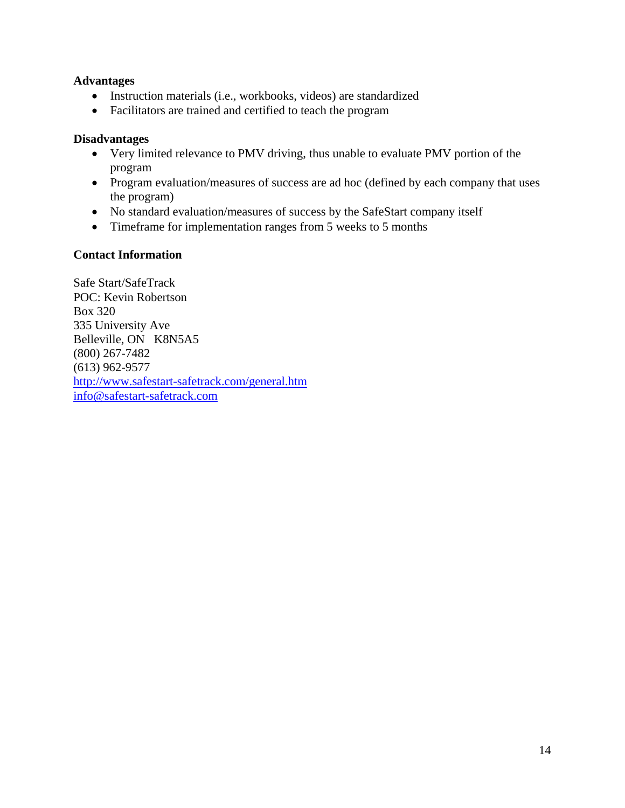#### **Advantages**

- Instruction materials (i.e., workbooks, videos) are standardized
- Facilitators are trained and certified to teach the program

#### **Disadvantages**

- Very limited relevance to PMV driving, thus unable to evaluate PMV portion of the program
- Program evaluation/measures of success are ad hoc (defined by each company that uses the program)
- No standard evaluation/measures of success by the SafeStart company itself
- Timeframe for implementation ranges from 5 weeks to 5 months

### **Contact Information**

Safe Start/SafeTrack POC: Kevin Robertson Box 320 335 University Ave Belleville, ON K8N5A5 (800) 267-7482 (613) 962-9577 http://www.safestart-safetrack.com/general.htm info@safestart-safetrack.com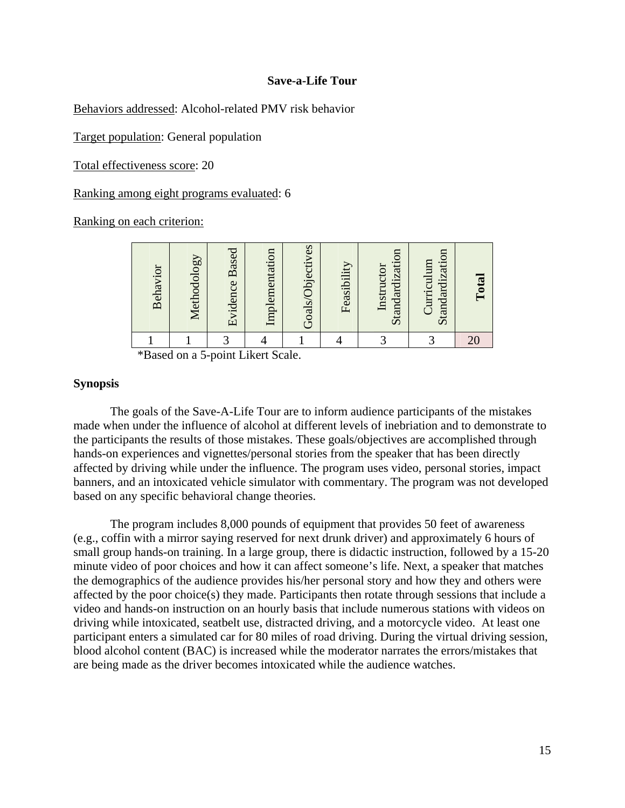#### **Save-a-Life Tour**

Behaviors addressed: Alcohol-related PMV risk behavior

Target population: General population

Total effectiveness score: 20

Ranking among eight programs evaluated: 6

Ranking on each criterion:

| Behavior | Methodology | <b>Evidence Based</b> | Implementation | Goals/Objectives | Feasibility | Standardization<br>Instructor | Standardization<br>Curriculum | Total |
|----------|-------------|-----------------------|----------------|------------------|-------------|-------------------------------|-------------------------------|-------|
|          |             |                       |                |                  |             |                               |                               |       |

\*Based on a 5-point Likert Scale.

#### **Synopsis**

The goals of the Save-A-Life Tour are to inform audience participants of the mistakes made when under the influence of alcohol at different levels of inebriation and to demonstrate to the participants the results of those mistakes. These goals/objectives are accomplished through hands-on experiences and vignettes/personal stories from the speaker that has been directly affected by driving while under the influence. The program uses video, personal stories, impact banners, and an intoxicated vehicle simulator with commentary. The program was not developed based on any specific behavioral change theories.

The program includes 8,000 pounds of equipment that provides 50 feet of awareness (e.g., coffin with a mirror saying reserved for next drunk driver) and approximately 6 hours of small group hands-on training. In a large group, there is didactic instruction, followed by a 15-20 minute video of poor choices and how it can affect someone's life. Next, a speaker that matches the demographics of the audience provides his/her personal story and how they and others were affected by the poor choice(s) they made. Participants then rotate through sessions that include a video and hands-on instruction on an hourly basis that include numerous stations with videos on driving while intoxicated, seatbelt use, distracted driving, and a motorcycle video. At least one participant enters a simulated car for 80 miles of road driving. During the virtual driving session, blood alcohol content (BAC) is increased while the moderator narrates the errors/mistakes that are being made as the driver becomes intoxicated while the audience watches.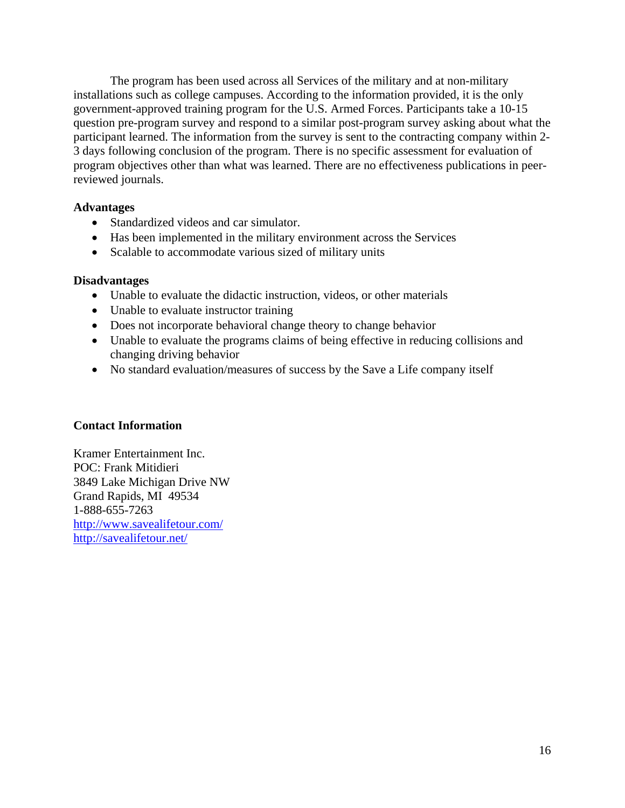The program has been used across all Services of the military and at non-military installations such as college campuses. According to the information provided, it is the only government-approved training program for the U.S. Armed Forces. Participants take a 10-15 question pre-program survey and respond to a similar post-program survey asking about what the participant learned. The information from the survey is sent to the contracting company within 2- 3 days following conclusion of the program. There is no specific assessment for evaluation of program objectives other than what was learned. There are no effectiveness publications in peerreviewed journals.

### **Advantages**

- Standardized videos and car simulator.
- Has been implemented in the military environment across the Services
- Scalable to accommodate various sized of military units

#### **Disadvantages**

- Unable to evaluate the didactic instruction, videos, or other materials
- Unable to evaluate instructor training
- Does not incorporate behavioral change theory to change behavior
- Unable to evaluate the programs claims of being effective in reducing collisions and changing driving behavior
- No standard evaluation/measures of success by the Save a Life company itself

#### **Contact Information**

Kramer Entertainment Inc. POC: Frank Mitidieri 3849 Lake Michigan Drive NW Grand Rapids, MI 49534 1-888-655-7263 http://www.savealifetour.com/ http://savealifetour.net/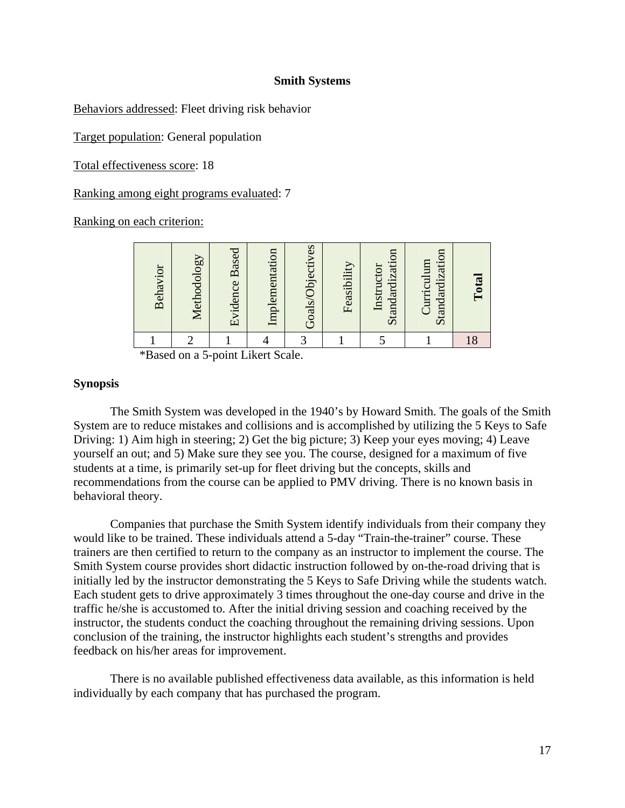#### **Smith Systems**

Behaviors addressed: Fleet driving risk behavior

Target population: General population

Total effectiveness score: 18

Ranking among eight programs evaluated: 7

Ranking on each criterion:

| Behavior | Methodology | <b>Evidence Based</b> | Implementation | Goals/Objectives | Feasibility | Standardization<br>Instructor | Standardization<br>Curriculum | $\Gamma$ otal |
|----------|-------------|-----------------------|----------------|------------------|-------------|-------------------------------|-------------------------------|---------------|
|          |             |                       |                | ⌒                |             |                               |                               | 18            |

\*Based on a 5-point Likert Scale.

#### **Synopsis**

The Smith System was developed in the 1940's by Howard Smith. The goals of the Smith System are to reduce mistakes and collisions and is accomplished by utilizing the 5 Keys to Safe Driving: 1) Aim high in steering; 2) Get the big picture; 3) Keep your eyes moving; 4) Leave yourself an out; and 5) Make sure they see you. The course, designed for a maximum of five students at a time, is primarily set-up for fleet driving but the concepts, skills and recommendations from the course can be applied to PMV driving. There is no known basis in behavioral theory.

Companies that purchase the Smith System identify individuals from their company they would like to be trained. These individuals attend a 5-day "Train-the-trainer" course. These trainers are then certified to return to the company as an instructor to implement the course. The Smith System course provides short didactic instruction followed by on-the-road driving that is initially led by the instructor demonstrating the 5 Keys to Safe Driving while the students watch. Each student gets to drive approximately 3 times throughout the one-day course and drive in the traffic he/she is accustomed to. After the initial driving session and coaching received by the instructor, the students conduct the coaching throughout the remaining driving sessions. Upon conclusion of the training, the instructor highlights each student's strengths and provides feedback on his/her areas for improvement.

There is no available published effectiveness data available, as this information is held individually by each company that has purchased the program.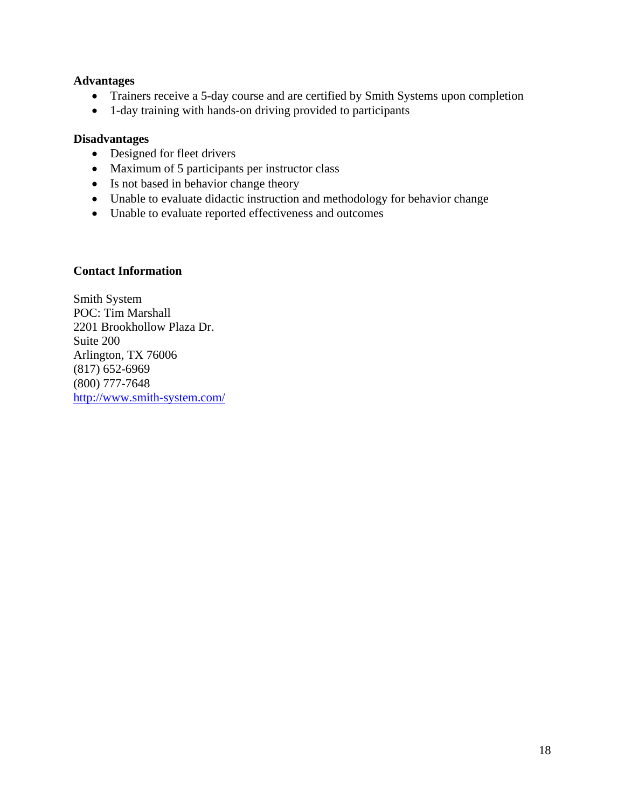#### **Advantages**

- Trainers receive a 5-day course and are certified by Smith Systems upon completion
- 1-day training with hands-on driving provided to participants

#### **Disadvantages**

- Designed for fleet drivers
- Maximum of 5 participants per instructor class
- Is not based in behavior change theory
- Unable to evaluate didactic instruction and methodology for behavior change
- Unable to evaluate reported effectiveness and outcomes

#### **Contact Information**

Smith System POC: Tim Marshall 2201 Brookhollow Plaza Dr. Suite 200 Arlington, TX 76006 (817) 652-6969 (800) 777-7648 http://www.smith-system.com/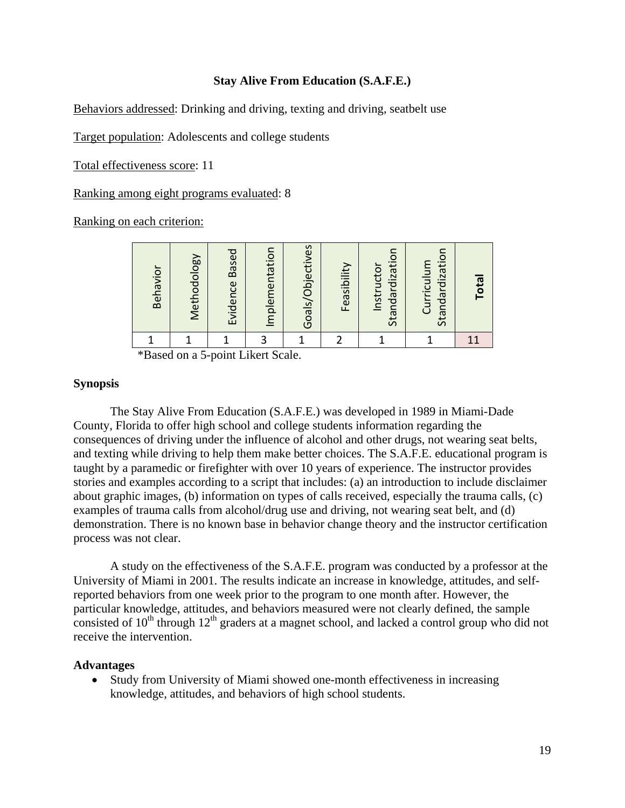#### **Stay Alive From Education (S.A.F.E.)**

Behaviors addressed: Drinking and driving, texting and driving, seatbelt use

Target population: Adolescents and college students

Total effectiveness score: 11

Ranking among eight programs evaluated: 8

Ranking on each criterion:

| Behavior | Methodology | <b>Based</b><br>Evidence | Implementation | Goals/Objectives | Feasibility | Standardization<br>Instructor | Standardization<br>Curriculum | <b>Tota</b> |
|----------|-------------|--------------------------|----------------|------------------|-------------|-------------------------------|-------------------------------|-------------|
|          |             |                          |                |                  |             |                               |                               |             |

\*Based on a 5-point Likert Scale.

#### **Synopsis**

 The Stay Alive From Education (S.A.F.E.) was developed in 1989 in Miami-Dade County, Florida to offer high school and college students information regarding the consequences of driving under the influence of alcohol and other drugs, not wearing seat belts, and texting while driving to help them make better choices. The S.A.F.E. educational program is taught by a paramedic or firefighter with over 10 years of experience. The instructor provides stories and examples according to a script that includes: (a) an introduction to include disclaimer about graphic images, (b) information on types of calls received, especially the trauma calls, (c) examples of trauma calls from alcohol/drug use and driving, not wearing seat belt, and (d) demonstration. There is no known base in behavior change theory and the instructor certification process was not clear.

 A study on the effectiveness of the S.A.F.E. program was conducted by a professor at the University of Miami in 2001. The results indicate an increase in knowledge, attitudes, and selfreported behaviors from one week prior to the program to one month after. However, the particular knowledge, attitudes, and behaviors measured were not clearly defined, the sample consisted of  $10<sup>th</sup>$  through  $12<sup>th</sup>$  graders at a magnet school, and lacked a control group who did not receive the intervention.

#### **Advantages**

 Study from University of Miami showed one-month effectiveness in increasing knowledge, attitudes, and behaviors of high school students.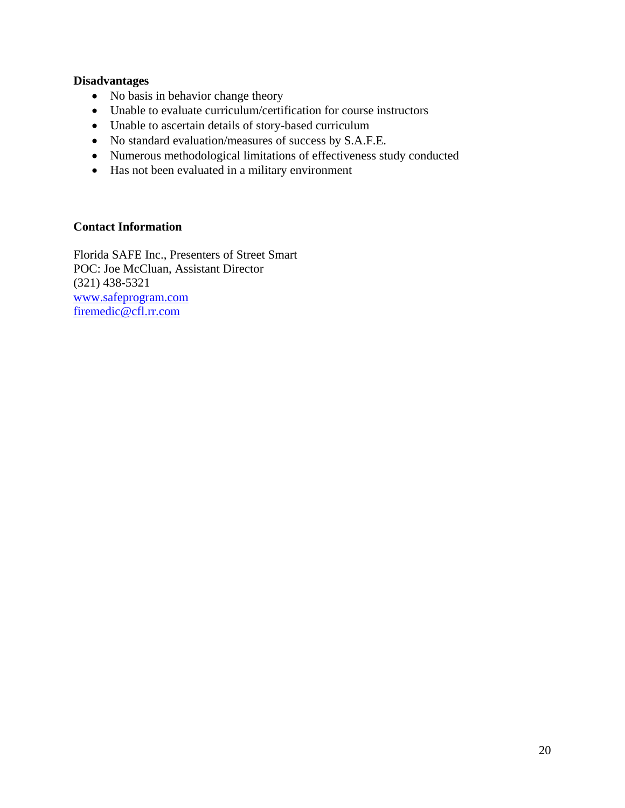#### **Disadvantages**

- No basis in behavior change theory
- Unable to evaluate curriculum/certification for course instructors
- Unable to ascertain details of story-based curriculum
- No standard evaluation/measures of success by S.A.F.E.
- Numerous methodological limitations of effectiveness study conducted
- Has not been evaluated in a military environment

# **Contact Information**

Florida SAFE Inc., Presenters of Street Smart POC: Joe McCluan, Assistant Director (321) 438-5321 www.safeprogram.com firemedic@cfl.rr.com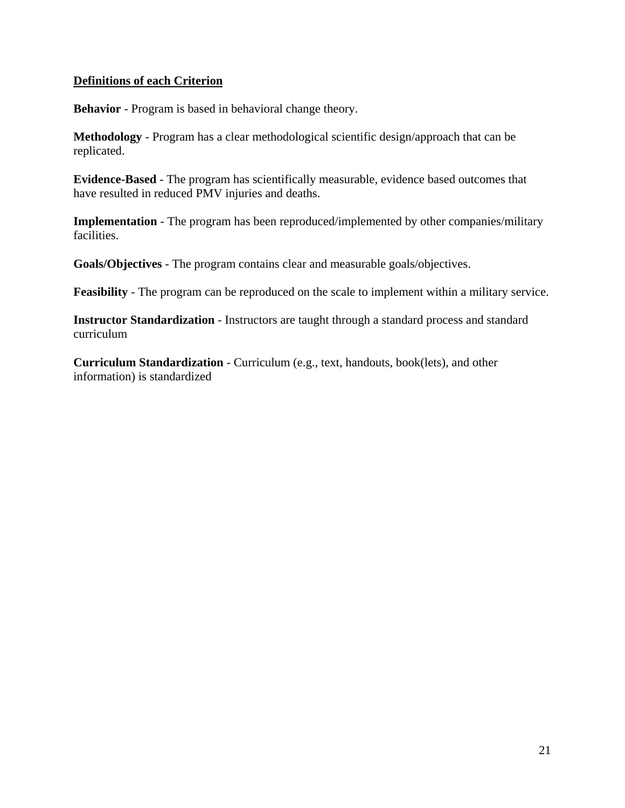### **Definitions of each Criterion**

**Behavior** - Program is based in behavioral change theory.

**Methodology** - Program has a clear methodological scientific design/approach that can be replicated.

**Evidence-Based** - The program has scientifically measurable, evidence based outcomes that have resulted in reduced PMV injuries and deaths.

**Implementation** - The program has been reproduced/implemented by other companies/military facilities.

**Goals/Objectives** - The program contains clear and measurable goals/objectives.

**Feasibility** - The program can be reproduced on the scale to implement within a military service.

**Instructor Standardization** - Instructors are taught through a standard process and standard curriculum

**Curriculum Standardization** - Curriculum (e.g., text, handouts, book(lets), and other information) is standardized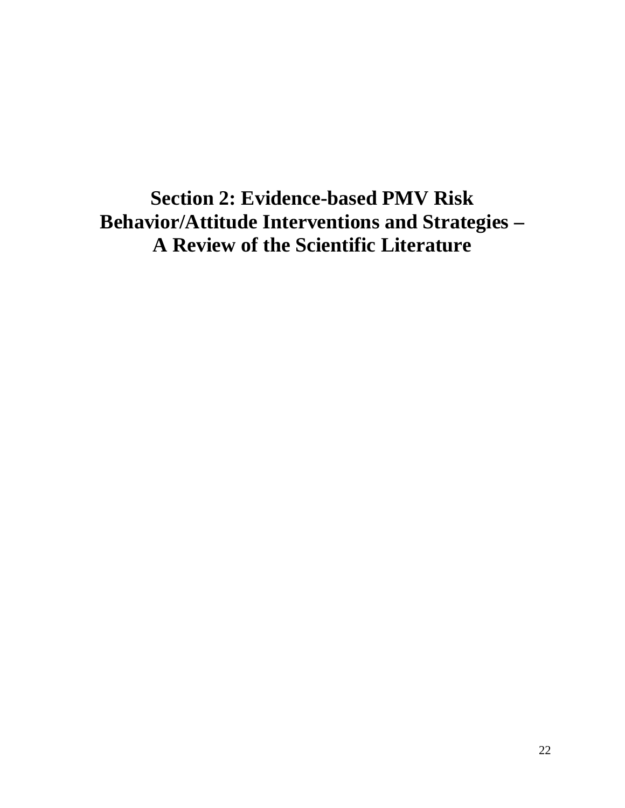**Section 2: Evidence-based PMV Risk Behavior/Attitude Interventions and Strategies – A Review of the Scientific Literature**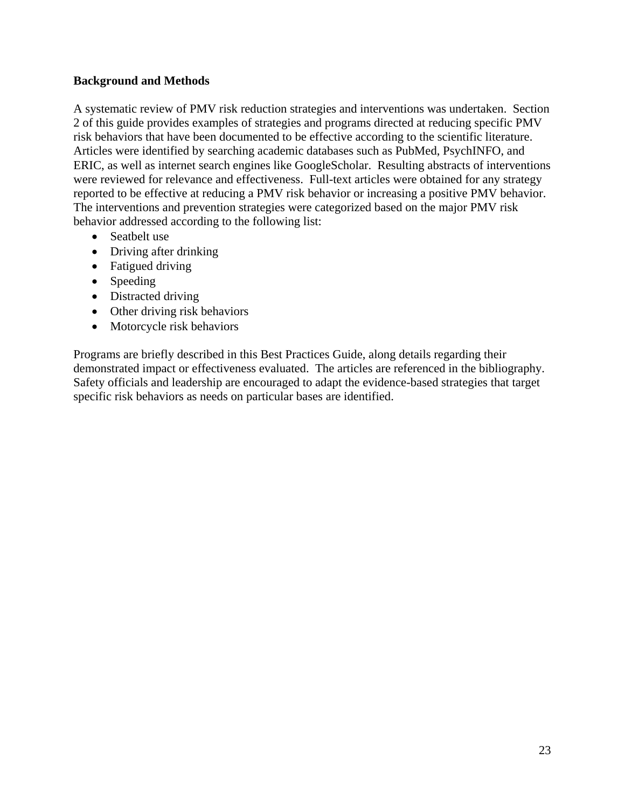### **Background and Methods**

A systematic review of PMV risk reduction strategies and interventions was undertaken. Section 2 of this guide provides examples of strategies and programs directed at reducing specific PMV risk behaviors that have been documented to be effective according to the scientific literature. Articles were identified by searching academic databases such as PubMed, PsychINFO, and ERIC, as well as internet search engines like GoogleScholar. Resulting abstracts of interventions were reviewed for relevance and effectiveness. Full-text articles were obtained for any strategy reported to be effective at reducing a PMV risk behavior or increasing a positive PMV behavior. The interventions and prevention strategies were categorized based on the major PMV risk behavior addressed according to the following list:

- Seatbelt use
- Driving after drinking
- Fatigued driving
- Speeding
- Distracted driving
- Other driving risk behaviors
- Motorcycle risk behaviors

Programs are briefly described in this Best Practices Guide, along details regarding their demonstrated impact or effectiveness evaluated. The articles are referenced in the bibliography. Safety officials and leadership are encouraged to adapt the evidence-based strategies that target specific risk behaviors as needs on particular bases are identified.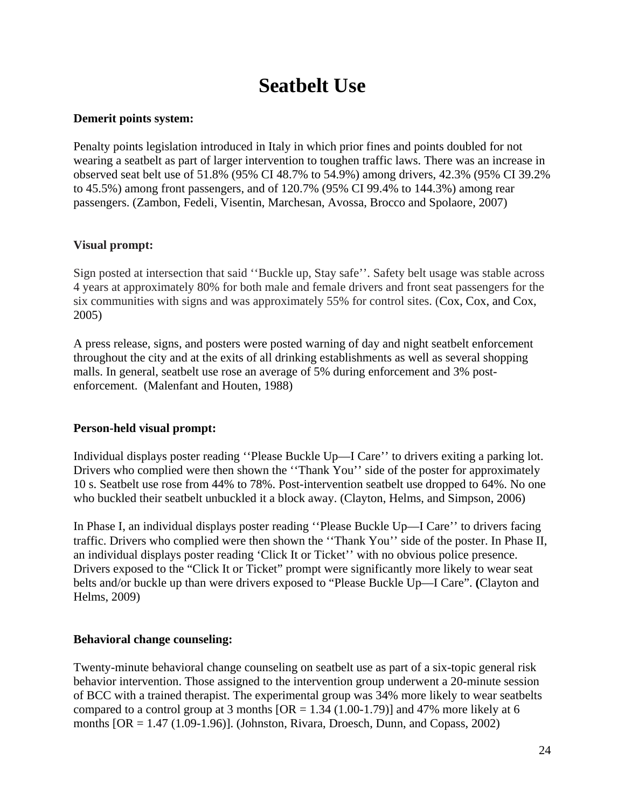# **Seatbelt Use**

### **Demerit points system:**

Penalty points legislation introduced in Italy in which prior fines and points doubled for not wearing a seatbelt as part of larger intervention to toughen traffic laws. There was an increase in observed seat belt use of 51.8% (95% CI 48.7% to 54.9%) among drivers, 42.3% (95% CI 39.2% to 45.5%) among front passengers, and of 120.7% (95% CI 99.4% to 144.3%) among rear passengers. (Zambon, Fedeli, Visentin, Marchesan, Avossa, Brocco and Spolaore, 2007)

# **Visual prompt:**

Sign posted at intersection that said ''Buckle up, Stay safe''. Safety belt usage was stable across 4 years at approximately 80% for both male and female drivers and front seat passengers for the six communities with signs and was approximately 55% for control sites. (Cox, Cox, and Cox, 2005)

A press release, signs, and posters were posted warning of day and night seatbelt enforcement throughout the city and at the exits of all drinking establishments as well as several shopping malls. In general, seatbelt use rose an average of 5% during enforcement and 3% postenforcement. (Malenfant and Houten, 1988)

# **Person-held visual prompt:**

Individual displays poster reading ''Please Buckle Up—I Care'' to drivers exiting a parking lot. Drivers who complied were then shown the ''Thank You'' side of the poster for approximately 10 s. Seatbelt use rose from 44% to 78%. Post-intervention seatbelt use dropped to 64%. No one who buckled their seatbelt unbuckled it a block away. (Clayton, Helms, and Simpson, 2006)

In Phase I, an individual displays poster reading ''Please Buckle Up—I Care'' to drivers facing traffic. Drivers who complied were then shown the ''Thank You'' side of the poster. In Phase II, an individual displays poster reading 'Click It or Ticket'' with no obvious police presence. Drivers exposed to the "Click It or Ticket" prompt were significantly more likely to wear seat belts and/or buckle up than were drivers exposed to "Please Buckle Up—I Care". **(**Clayton and Helms, 2009)

#### **Behavioral change counseling:**

Twenty-minute behavioral change counseling on seatbelt use as part of a six-topic general risk behavior intervention. Those assigned to the intervention group underwent a 20-minute session of BCC with a trained therapist. The experimental group was 34% more likely to wear seatbelts compared to a control group at 3 months  $[OR = 1.34 (1.00-1.79)]$  and 47% more likely at 6 months  $[OR = 1.47 (1.09-1.96)]$ . (Johnston, Rivara, Droesch, Dunn, and Copass, 2002)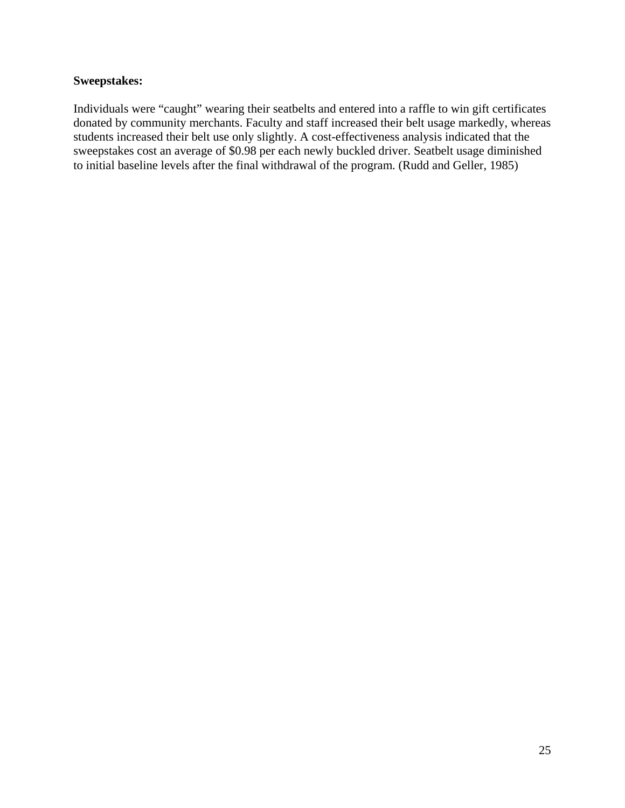# **Sweepstakes:**

Individuals were "caught" wearing their seatbelts and entered into a raffle to win gift certificates donated by community merchants. Faculty and staff increased their belt usage markedly, whereas students increased their belt use only slightly. A cost-effectiveness analysis indicated that the sweepstakes cost an average of \$0.98 per each newly buckled driver. Seatbelt usage diminished to initial baseline levels after the final withdrawal of the program. (Rudd and Geller, 1985)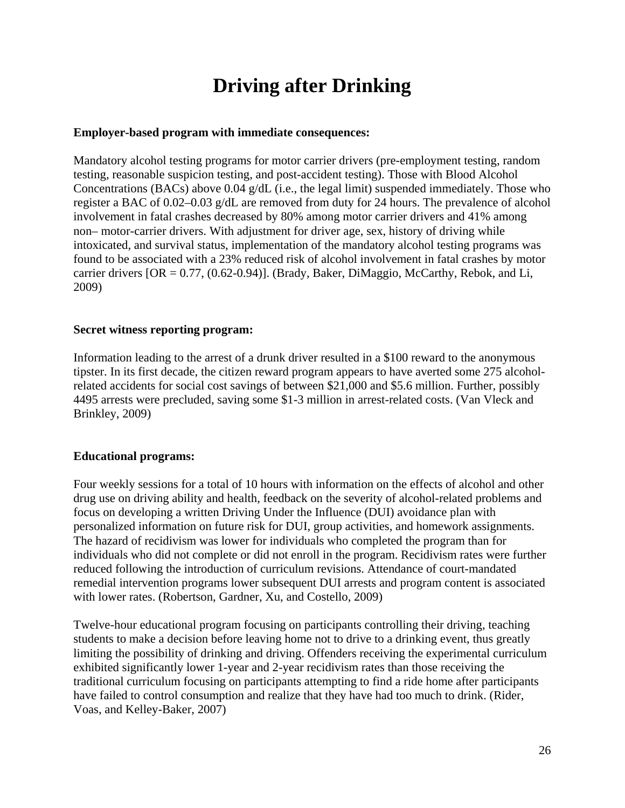# **Driving after Drinking**

### **Employer-based program with immediate consequences:**

Mandatory alcohol testing programs for motor carrier drivers (pre-employment testing, random testing, reasonable suspicion testing, and post-accident testing). Those with Blood Alcohol Concentrations (BACs) above 0.04 g/dL (i.e., the legal limit) suspended immediately. Those who register a BAC of 0.02–0.03 g/dL are removed from duty for 24 hours. The prevalence of alcohol involvement in fatal crashes decreased by 80% among motor carrier drivers and 41% among non– motor-carrier drivers. With adjustment for driver age, sex, history of driving while intoxicated, and survival status, implementation of the mandatory alcohol testing programs was found to be associated with a 23% reduced risk of alcohol involvement in fatal crashes by motor carrier drivers  $[OR = 0.77, (0.62-0.94)]$ . (Brady, Baker, DiMaggio, McCarthy, Rebok, and Li, 2009)

### **Secret witness reporting program:**

Information leading to the arrest of a drunk driver resulted in a \$100 reward to the anonymous tipster. In its first decade, the citizen reward program appears to have averted some 275 alcoholrelated accidents for social cost savings of between \$21,000 and \$5.6 million. Further, possibly 4495 arrests were precluded, saving some \$1-3 million in arrest-related costs. (Van Vleck and Brinkley, 2009)

# **Educational programs:**

Four weekly sessions for a total of 10 hours with information on the effects of alcohol and other drug use on driving ability and health, feedback on the severity of alcohol-related problems and focus on developing a written Driving Under the Influence (DUI) avoidance plan with personalized information on future risk for DUI, group activities, and homework assignments. The hazard of recidivism was lower for individuals who completed the program than for individuals who did not complete or did not enroll in the program. Recidivism rates were further reduced following the introduction of curriculum revisions. Attendance of court-mandated remedial intervention programs lower subsequent DUI arrests and program content is associated with lower rates. (Robertson, Gardner, Xu, and Costello, 2009)

Twelve-hour educational program focusing on participants controlling their driving, teaching students to make a decision before leaving home not to drive to a drinking event, thus greatly limiting the possibility of drinking and driving. Offenders receiving the experimental curriculum exhibited significantly lower 1-year and 2-year recidivism rates than those receiving the traditional curriculum focusing on participants attempting to find a ride home after participants have failed to control consumption and realize that they have had too much to drink. (Rider, Voas, and Kelley-Baker, 2007)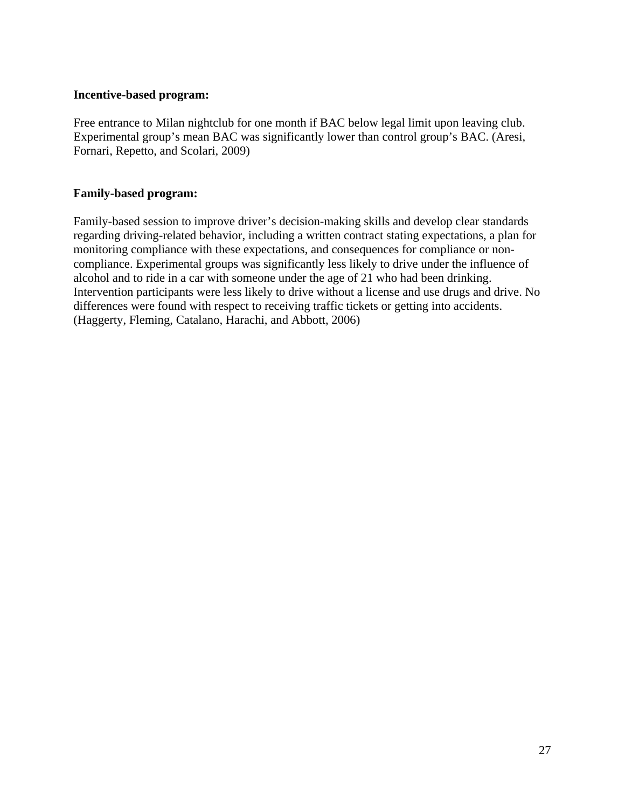#### **Incentive-based program:**

Free entrance to Milan nightclub for one month if BAC below legal limit upon leaving club. Experimental group's mean BAC was significantly lower than control group's BAC. (Aresi, Fornari, Repetto, and Scolari, 2009)

### **Family-based program:**

Family-based session to improve driver's decision-making skills and develop clear standards regarding driving-related behavior, including a written contract stating expectations, a plan for monitoring compliance with these expectations, and consequences for compliance or noncompliance. Experimental groups was significantly less likely to drive under the influence of alcohol and to ride in a car with someone under the age of 21 who had been drinking. Intervention participants were less likely to drive without a license and use drugs and drive. No differences were found with respect to receiving traffic tickets or getting into accidents. (Haggerty, Fleming, Catalano, Harachi, and Abbott, 2006)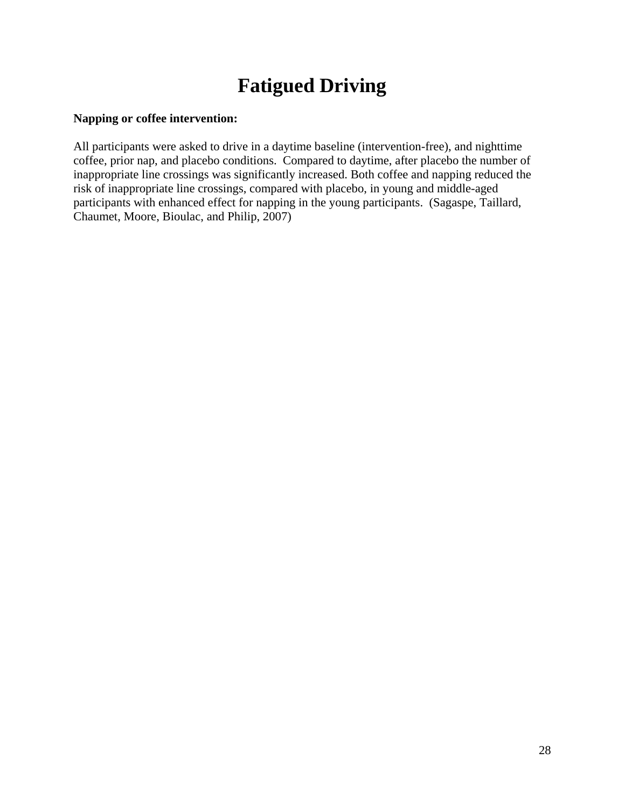# **Fatigued Driving**

# **Napping or coffee intervention:**

All participants were asked to drive in a daytime baseline (intervention-free), and nighttime coffee, prior nap, and placebo conditions. Compared to daytime, after placebo the number of inappropriate line crossings was significantly increased. Both coffee and napping reduced the risk of inappropriate line crossings, compared with placebo, in young and middle-aged participants with enhanced effect for napping in the young participants. (Sagaspe, Taillard, Chaumet, Moore, Bioulac, and Philip, 2007)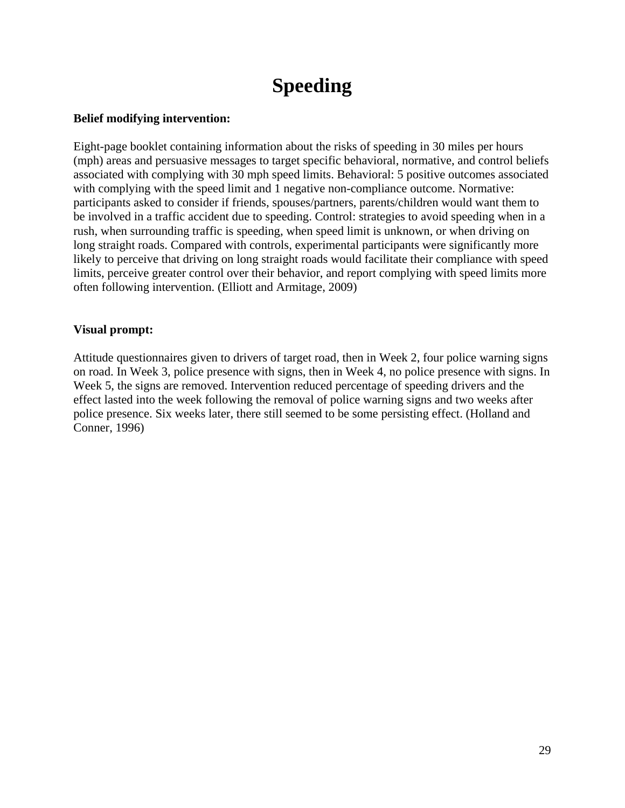# **Speeding**

# **Belief modifying intervention:**

Eight-page booklet containing information about the risks of speeding in 30 miles per hours (mph) areas and persuasive messages to target specific behavioral, normative, and control beliefs associated with complying with 30 mph speed limits. Behavioral: 5 positive outcomes associated with complying with the speed limit and 1 negative non-compliance outcome. Normative: participants asked to consider if friends, spouses/partners, parents/children would want them to be involved in a traffic accident due to speeding. Control: strategies to avoid speeding when in a rush, when surrounding traffic is speeding, when speed limit is unknown, or when driving on long straight roads. Compared with controls, experimental participants were significantly more likely to perceive that driving on long straight roads would facilitate their compliance with speed limits, perceive greater control over their behavior, and report complying with speed limits more often following intervention. (Elliott and Armitage, 2009)

### **Visual prompt:**

Attitude questionnaires given to drivers of target road, then in Week 2, four police warning signs on road. In Week 3, police presence with signs, then in Week 4, no police presence with signs. In Week 5, the signs are removed. Intervention reduced percentage of speeding drivers and the effect lasted into the week following the removal of police warning signs and two weeks after police presence. Six weeks later, there still seemed to be some persisting effect. (Holland and Conner, 1996)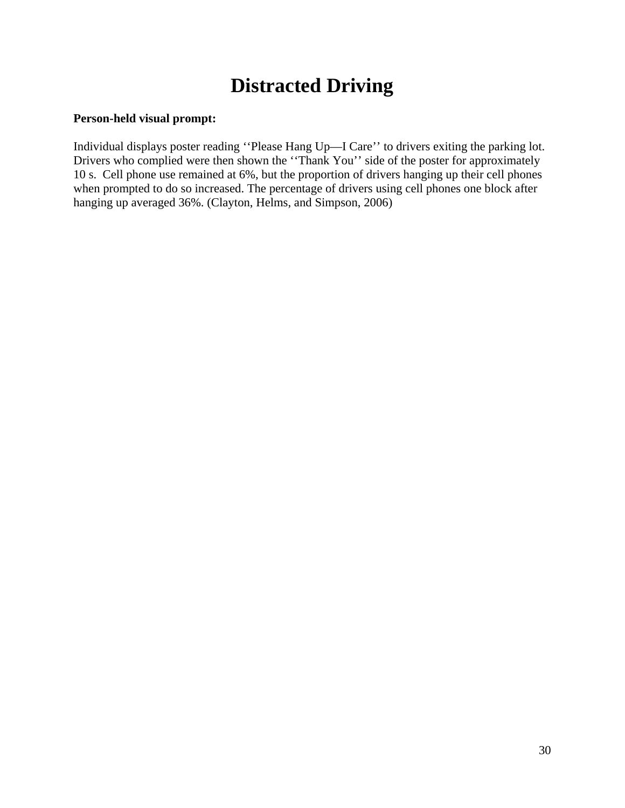# **Distracted Driving**

# **Person-held visual prompt:**

Individual displays poster reading ''Please Hang Up—I Care'' to drivers exiting the parking lot. Drivers who complied were then shown the "Thank You" side of the poster for approximately 10 s. Cell phone use remained at 6%, but the proportion of drivers hanging up their cell phones when prompted to do so increased. The percentage of drivers using cell phones one block after hanging up averaged 36%. (Clayton, Helms, and Simpson, 2006)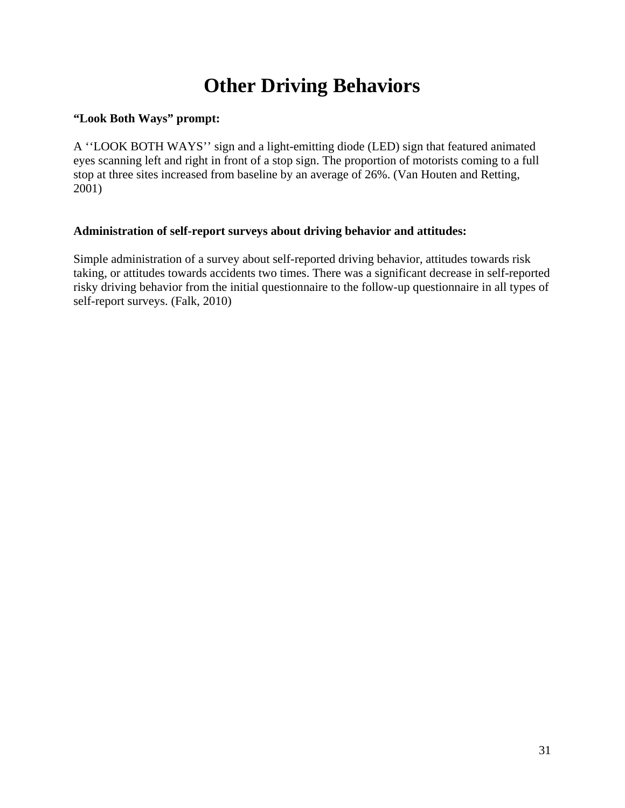# **Other Driving Behaviors**

# **"Look Both Ways" prompt:**

A ''LOOK BOTH WAYS'' sign and a light-emitting diode (LED) sign that featured animated eyes scanning left and right in front of a stop sign. The proportion of motorists coming to a full stop at three sites increased from baseline by an average of 26%. (Van Houten and Retting, 2001)

# **Administration of self-report surveys about driving behavior and attitudes:**

Simple administration of a survey about self-reported driving behavior, attitudes towards risk taking, or attitudes towards accidents two times. There was a significant decrease in self-reported risky driving behavior from the initial questionnaire to the follow-up questionnaire in all types of self-report surveys. (Falk, 2010)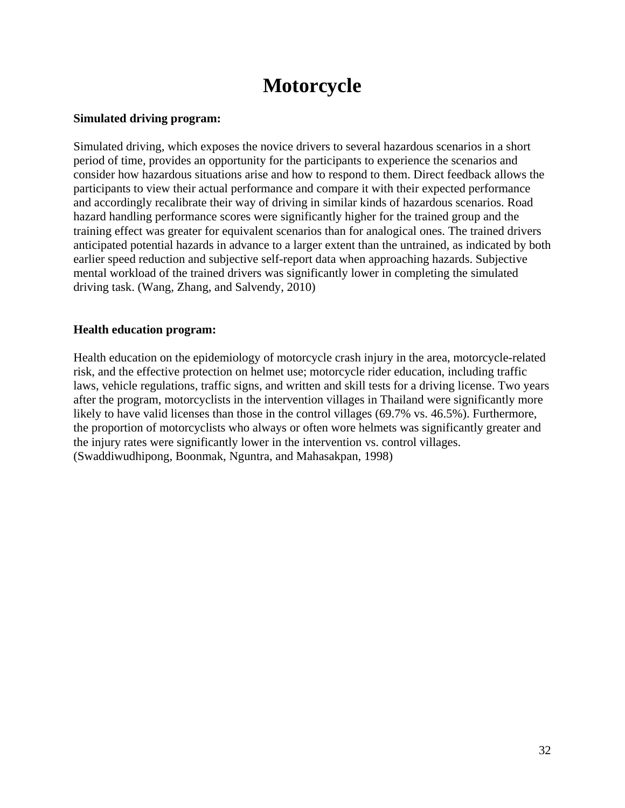# **Motorcycle**

### **Simulated driving program:**

Simulated driving, which exposes the novice drivers to several hazardous scenarios in a short period of time, provides an opportunity for the participants to experience the scenarios and consider how hazardous situations arise and how to respond to them. Direct feedback allows the participants to view their actual performance and compare it with their expected performance and accordingly recalibrate their way of driving in similar kinds of hazardous scenarios. Road hazard handling performance scores were significantly higher for the trained group and the training effect was greater for equivalent scenarios than for analogical ones. The trained drivers anticipated potential hazards in advance to a larger extent than the untrained, as indicated by both earlier speed reduction and subjective self-report data when approaching hazards. Subjective mental workload of the trained drivers was significantly lower in completing the simulated driving task. (Wang, Zhang, and Salvendy, 2010)

### **Health education program:**

Health education on the epidemiology of motorcycle crash injury in the area, motorcycle-related risk, and the effective protection on helmet use; motorcycle rider education, including traffic laws, vehicle regulations, traffic signs, and written and skill tests for a driving license. Two years after the program, motorcyclists in the intervention villages in Thailand were significantly more likely to have valid licenses than those in the control villages (69.7% vs. 46.5%). Furthermore, the proportion of motorcyclists who always or often wore helmets was significantly greater and the injury rates were significantly lower in the intervention vs. control villages. (Swaddiwudhipong, Boonmak, Nguntra, and Mahasakpan, 1998)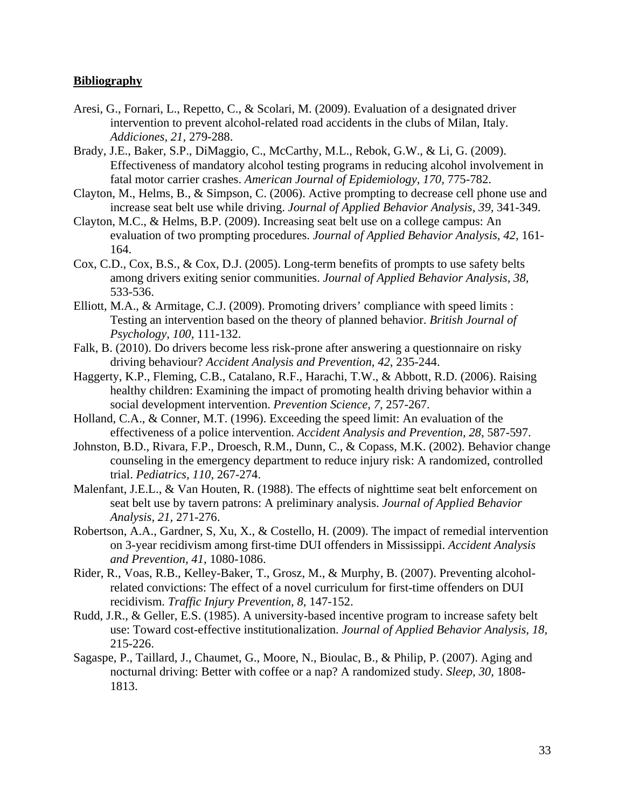#### **Bibliography**

- Aresi, G., Fornari, L., Repetto, C., & Scolari, M. (2009). Evaluation of a designated driver intervention to prevent alcohol-related road accidents in the clubs of Milan, Italy. *Addiciones, 21,* 279-288.
- Brady, J.E., Baker, S.P., DiMaggio, C., McCarthy, M.L., Rebok, G.W., & Li, G. (2009). Effectiveness of mandatory alcohol testing programs in reducing alcohol involvement in fatal motor carrier crashes. *American Journal of Epidemiology, 170,* 775-782.
- Clayton, M., Helms, B., & Simpson, C. (2006). Active prompting to decrease cell phone use and increase seat belt use while driving. *Journal of Applied Behavior Analysis, 39,* 341-349.
- Clayton, M.C., & Helms, B.P. (2009). Increasing seat belt use on a college campus: An evaluation of two prompting procedures. *Journal of Applied Behavior Analysis, 42,* 161- 164.
- Cox, C.D., Cox, B.S., & Cox, D.J. (2005). Long-term benefits of prompts to use safety belts among drivers exiting senior communities. *Journal of Applied Behavior Analysis, 38,* 533-536.
- Elliott, M.A., & Armitage, C.J. (2009). Promoting drivers' compliance with speed limits : Testing an intervention based on the theory of planned behavior. *British Journal of Psychology, 100,* 111-132.
- Falk, B. (2010). Do drivers become less risk-prone after answering a questionnaire on risky driving behaviour? *Accident Analysis and Prevention, 42*, 235-244.
- Haggerty, K.P., Fleming, C.B., Catalano, R.F., Harachi, T.W., & Abbott, R.D. (2006). Raising healthy children: Examining the impact of promoting health driving behavior within a social development intervention. *Prevention Science, 7,* 257-267.
- Holland, C.A., & Conner, M.T. (1996). Exceeding the speed limit: An evaluation of the effectiveness of a police intervention. *Accident Analysis and Prevention, 28,* 587-597.
- Johnston, B.D., Rivara, F.P., Droesch, R.M., Dunn, C., & Copass, M.K. (2002). Behavior change counseling in the emergency department to reduce injury risk: A randomized, controlled trial. *Pediatrics, 110,* 267-274.
- Malenfant, J.E.L., & Van Houten, R. (1988). The effects of nighttime seat belt enforcement on seat belt use by tavern patrons: A preliminary analysis. *Journal of Applied Behavior Analysis, 21,* 271-276.
- Robertson, A.A., Gardner, S, Xu, X., & Costello, H. (2009). The impact of remedial intervention on 3-year recidivism among first-time DUI offenders in Mississippi. *Accident Analysis and Prevention, 41,* 1080-1086.
- Rider, R., Voas, R.B., Kelley-Baker, T., Grosz, M., & Murphy, B. (2007). Preventing alcoholrelated convictions: The effect of a novel curriculum for first-time offenders on DUI recidivism. *Traffic Injury Prevention, 8,* 147-152.
- Rudd, J.R., & Geller, E.S. (1985). A university-based incentive program to increase safety belt use: Toward cost-effective institutionalization. *Journal of Applied Behavior Analysis, 18,*  215-226.
- Sagaspe, P., Taillard, J., Chaumet, G., Moore, N., Bioulac, B., & Philip, P. (2007). Aging and nocturnal driving: Better with coffee or a nap? A randomized study. *Sleep, 30,* 1808- 1813.